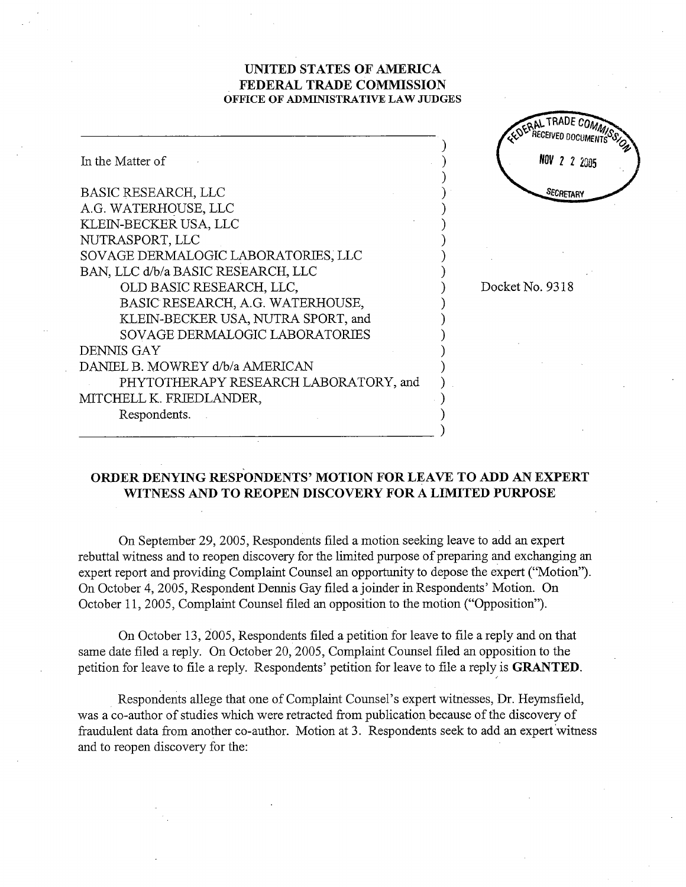## UNITED STATES OF AMRICA FEDERAL TRADE COMMISSION OFFICE OF ADMINISTRATIVE LAW JUDGES

ON TRADE COMP

|                                       | <b>EDEPRECEIVED DOCIN</b> |
|---------------------------------------|---------------------------|
| In the Matter of                      | 2 2 2005                  |
| <b>BASIC RESEARCH, LLC</b>            | SECRETARY                 |
| A.G. WATERHOUSE, LLC                  |                           |
| KLEIN-BECKER USA, LLC                 |                           |
| NUTRASPORT, LLC                       |                           |
| SOVAGE DERMALOGIC LABORATORIES, LLC   |                           |
| BAN, LLC d/b/a BASIC RESEARCH, LLC    |                           |
| OLD BASIC RESEARCH, LLC,              | Docket No. 9318           |
| BASIC RESEARCH, A.G. WATERHOUSE,      |                           |
| KLEIN-BECKER USA, NUTRA SPORT, and    |                           |
| SOVAGE DERMALOGIC LABORATORIES        |                           |
| DENNIS GAY                            |                           |
| DANIEL B. MOWREY d/b/a AMERICAN       |                           |
| PHYTOTHERAPY RESEARCH LABORATORY, and |                           |
| MITCHELL K. FRIEDLANDER,              |                           |
| Respondents.                          |                           |
|                                       |                           |

## ORDER DENYING RESPONDENTS' MOTION FOR LEAVE TO ADD AN EXPERT WITNESS AND TO REOPEN DISCOVERY FOR A LIMITED PURPOSE

On September 29 2005 , Respondents filed a motion seeking leave to add an expert rebuttal witness and to reopen discovery for the limited purpose of preparing and exchanging an expert report and providing Complaint Counsel an opportunity to depose the expert ("Motion"). On October 4, 2005, Respondent Dennis Gay filed a joinder in Respondents' Motion. On October 11, 2005, Complaint Counsel filed an opposition to the motion ("Opposition").

On October 13 , 2005 , Respondents fied a petition for leave to file a reply and on that same date filed a reply. On October 20, 2005, Complaint Counsel filed an opposition to the petition for leave to file a reply. Respondents' petition for leave to file a reply is **GRANTED**.

Respondents allege that one of Complaint Counsel's expert witnesses, Dr. Heymsfield, was a co-author of studies which were retracted from publication because of the discovery of fraudulent data from another co-author. Motion at 3. Respondents seek to add an expert witness and to reopen discovery for the: